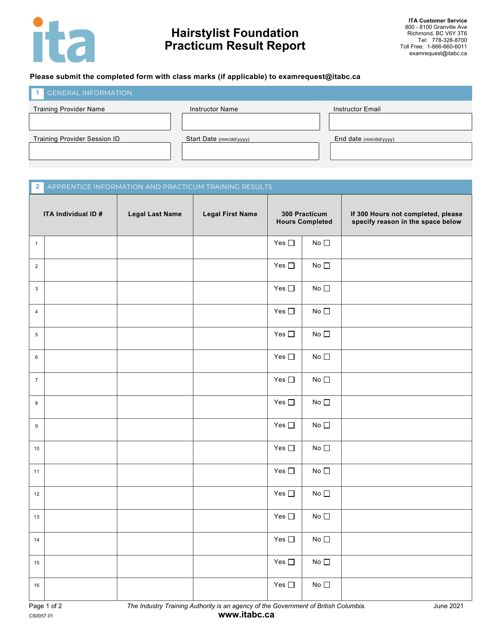

## **Hairstylist Foundation Practicum Result Report**

### **Please submit the completed form with class marks (if applicable) to examrequest@itabc.ca**

| <b>GENERAL INFORMATION</b>          |                         |                         |
|-------------------------------------|-------------------------|-------------------------|
| Training Provider Name              | <b>Instructor Name</b>  | <b>Instructor Email</b> |
|                                     |                         |                         |
| <b>Training Provider Session ID</b> | Start Date (mm/dd/yyyy) | End date $(mm/dd/yyyy)$ |
|                                     |                         |                         |
|                                     |                         |                         |

# **ITA Individual ID # Legal Last Name Legal First Name 300 Practicum Hours Completed If 300 Hours not completed, please specify reason in the space below** 1 Yes No 2  $\begin{array}{|c|c|c|c|c|}\n\hline\n2 & \multicolumn{1}{|c|}{Nec} \end{array}$  No  $\begin{array}{|c|c|c|c|c|}\n\hline\n2 & \multicolumn{1}{|c|}{Nec} \end{array}$ 3 Yes No 4 Yes No 5 Yes No 6 Yes No 7 Yes No 8 Yes No 9 Yes No 10  $\vert$  Yes  $\Box$  No 11 | Yes □ | No **2**

| Page 1 of 2 |  |
|-------------|--|
| CS0057.01   |  |

Page 1 of 2 *The Industry Training Authority is an agency of the Government of British Columbia.* June 2021

12  $\vert$  Yes  $\Box$  No

13 | Note that the set of the set of the set of the set of the set of the set of the set of the set of the set of the set of the set of the set of the set of the set of the set of the set of the set of the set of the set

14 | No

 $15$  Yes  $\Box$  No

16 | No